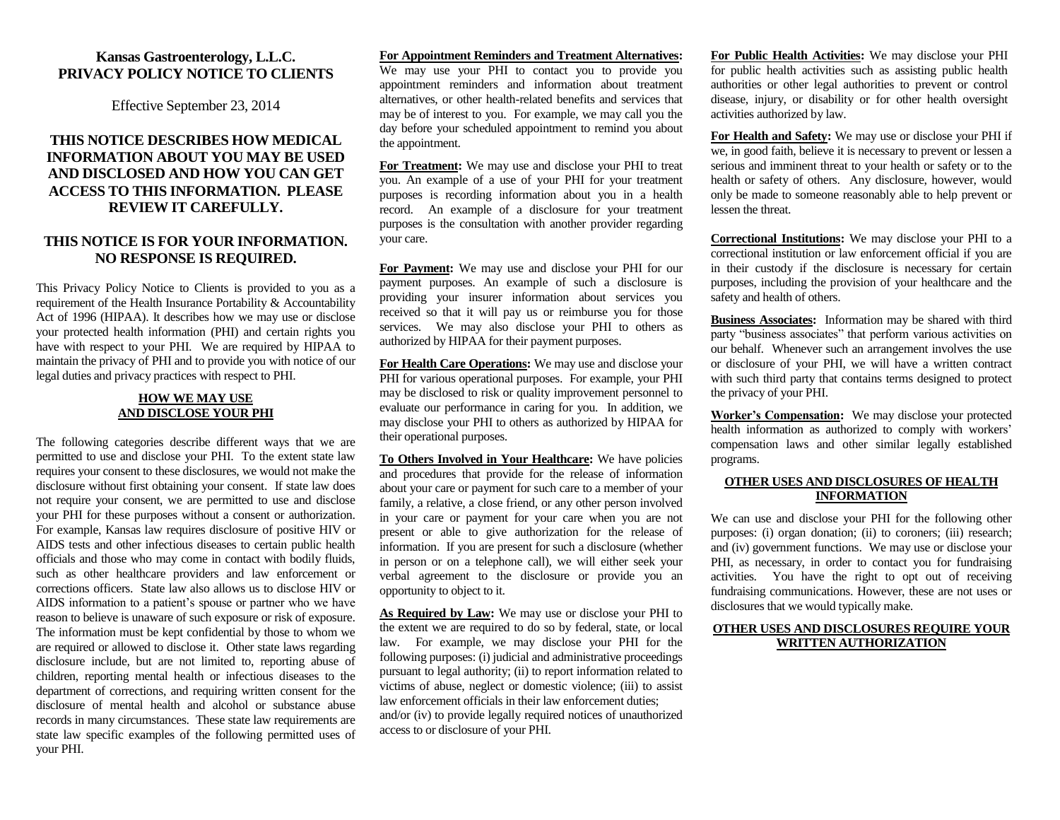## **Kansas Gastroenterology, L.L.C. PRIVACY POLICY NOTICE TO CLIENTS**

Effective September 23, 2014

# **THIS NOTICE DESCRIBES HOW MEDICAL INFORMATION ABOUT YOU MAY BE USED AND DISCLOSED AND HOW YOU CAN GET ACCESS TO THIS INFORMATION. PLEASE REVIEW IT CAREFULLY.**

## **THIS NOTICE IS FOR YOUR INFORMATION. NO RESPONSE IS REQUIRED.**

This Privacy Policy Notice to Clients is provided to you as a requirement of the Health Insurance Portability & Accountability Act of 1996 (HIPAA). It describes how we may use or disclose your protected health information (PHI) and certain rights you have with respect to your PHI. We are required by HIPAA to maintain the privacy of PHI and to provide you with notice of our legal duties and privacy practices with respect to PHI.

### **HOW WE MAY USE AND DISCLOSE YOUR PHI**

The following categories describe different ways that we are permitted to use and disclose your PHI. To the extent state law requires your consent to these disclosures, we would not make the disclosure without first obtaining your consent. If state law does not require your consent, we are permitted to use and disclose your PHI for these purposes without a consent or authorization. For example, Kansas law requires disclosure of positive HIV or AIDS tests and other infectious diseases to certain public health officials and those who may come in contact with bodily fluids, such as other healthcare providers and law enforcement or corrections officers. State law also allows us to disclose HIV or AIDS information to a patient's spouse or partner who we have reason to believe is unaware of such exposure or risk of exposure. The information must be kept confidential by those to whom we are required or allowed to disclose it. Other state laws regarding disclosure include, but are not limited to, reporting abuse of children, reporting mental health or infectious diseases to the department of corrections, and requiring written consent for the disclosure of mental health and alcohol or substance abuse records in many circumstances. These state law requirements are state law specific examples of the following permitted uses of your PHI.

#### **For Appointment Reminders and Treatment Alternatives:**

We may use your PHI to contact you to provide you appointment reminders and information about treatment alternatives, or other health-related benefits and services that may be of interest to you. For example, we may call you the day before your scheduled appointment to remind you about the appointment.

**For Treatment:** We may use and disclose your PHI to treat you. An example of a use of your PHI for your treatment purposes is recording information about you in a health record. An example of a disclosure for your treatment purposes is the consultation with another provider regarding your care.

**For Payment:** We may use and disclose your PHI for our payment purposes. An example of such a disclosure is providing your insurer information about services you received so that it will pay us or reimburse you for those services. We may also disclose your PHI to others as authorized by HIPAA for their payment purposes.

**For Health Care Operations:** We may use and disclose your PHI for various operational purposes. For example, your PHI may be disclosed to risk or quality improvement personnel to evaluate our performance in caring for you. In addition, we may disclose your PHI to others as authorized by HIPAA for their operational purposes.

**To Others Involved in Your Healthcare:** We have policies and procedures that provide for the release of information about your care or payment for such care to a member of your family, a relative, a close friend, or any other person involved in your care or payment for your care when you are not present or able to give authorization for the release of information. If you are present for such a disclosure (whether in person or on a telephone call), we will either seek your verbal agreement to the disclosure or provide you an opportunity to object to it. Ì

**As Required by Law:** We may use or disclose your PHI to the extent we are required to do so by federal, state, or local law. For example, we may disclose your PHI for the following purposes: (i) judicial and administrative proceedings pursuant to legal authority; (ii) to report information related to victims of abuse, neglect or domestic violence; (iii) to assist law enforcement officials in their law enforcement duties; and/or (iv) to provide legally required notices of unauthorized access to or disclosure of your PHI.

**For Public Health Activities:** We may disclose your PHI for public health activities such as assisting public health authorities or other legal authorities to prevent or control disease, injury, or disability or for other health oversight activities authorized by law.

**For Health and Safety:** We may use or disclose your PHI if we, in good faith, believe it is necessary to prevent or lessen a serious and imminent threat to your health or safety or to the health or safety of others. Any disclosure, however, would only be made to someone reasonably able to help prevent or lessen the threat.

**Correctional Institutions:** We may disclose your PHI to a correctional institution or law enforcement official if you are in their custody if the disclosure is necessary for certain purposes, including the provision of your healthcare and the safety and health of others.

**Business Associates:** Information may be shared with third party "business associates" that perform various activities on our behalf. Whenever such an arrangement involves the use or disclosure of your PHI, we will have a written contract with such third party that contains terms designed to protect the privacy of your PHI.

**Worker's Compensation:** We may disclose your protected health information as authorized to comply with workers' compensation laws and other similar legally established programs.

### **OTHER USES AND DISCLOSURES OF HEALTH INFORMATION**

We can use and disclose your PHI for the following other purposes: (i) organ donation; (ii) to coroners; (iii) research; and (iv) government functions. We may use or disclose your PHI, as necessary, in order to contact you for fundraising activities. You have the right to opt out of receiving fundraising communications. However, these are not uses or disclosures that we would typically make.

## **OTHER USES AND DISCLOSURES REQUIRE YOUR WRITTEN AUTHORIZATION**